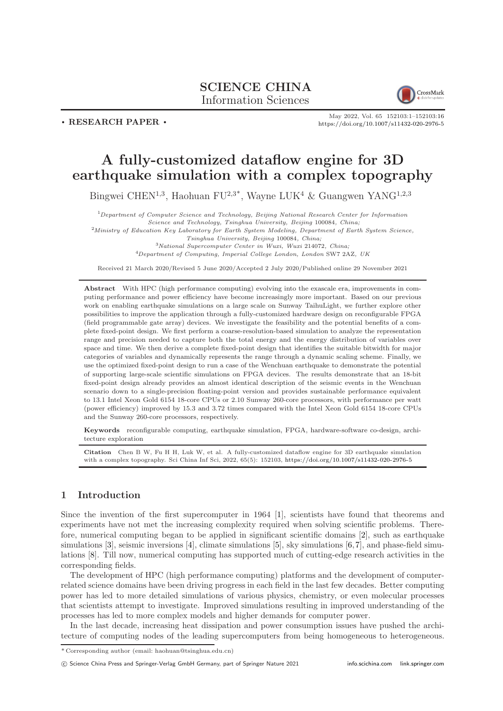# SCIENCE CHINA Information Sciences



. RESEARCH PAPER .

May 2022, Vol. 65 152103:1–152103[:16](#page-15-0) <https://doi.org/10.1007/s11432-020-2976-5>

# A fully-customized dataflow engine for 3D earthquake simulation with a complex topography

Bingwei CHEN<sup>1,3</sup>, Haohuan FU<sup>2,3\*</sup>, Wayne LUK<sup>4</sup> & Guangwen YANG<sup>1,2,3</sup>

 $\emph{1} Department of Computer Science and Technology, Beijing National Research Center for Information$ 

Science and Technology, Tsinghua University, Beijing 100084, China;

<sup>2</sup>Ministry of Education Key Laboratory for Earth System Modeling, Department of Earth System Science, Tsinghua University, Beijing 100084, China;

<sup>3</sup>National Supercomputer Center in Wuxi, Wuxi 214072, China;

<sup>4</sup>Department of Computing, Imperial College London, London SW7 2AZ, UK

Received 21 March 2020/Revised 5 June 2020/Accepted 2 July 2020/Published online 29 November 2021

Abstract With HPC (high performance computing) evolving into the exascale era, improvements in computing performance and power efficiency have become increasingly more important. Based on our previous work on enabling earthquake simulations on a large scale on Sunway TaihuLight, we further explore other possibilities to improve the application through a fully-customized hardware design on reconfigurable FPGA (field programmable gate array) devices. We investigate the feasibility and the potential benefits of a complete fixed-point design. We first perform a coarse-resolution-based simulation to analyze the representation range and precision needed to capture both the total energy and the energy distribution of variables over space and time. We then derive a complete fixed-point design that identifies the suitable bitwidth for major categories of variables and dynamically represents the range through a dynamic scaling scheme. Finally, we use the optimized fixed-point design to run a case of the Wenchuan earthquake to demonstrate the potential of supporting large-scale scientific simulations on FPGA devices. The results demonstrate that an 18-bit fixed-point design already provides an almost identical description of the seismic events in the Wenchuan scenario down to a single-precision floating-point version and provides sustainable performance equivalent to 13.1 Intel Xeon Gold 6154 18-core CPUs or 2.10 Sunway 260-core processors, with performance per watt (power efficiency) improved by 15.3 and 3.72 times compared with the Intel Xeon Gold 6154 18-core CPUs and the Sunway 260-core processors, respectively.

Keywords reconfigurable computing, earthquake simulation, FPGA, hardware-software co-design, architecture exploration

Citation Chen B W, Fu H H, Luk W, et al. A fully-customized dataflow engine for 3D earthquake simulation with a complex topography. Sci China Inf Sci, 2022, 65(5): 152103, <https://doi.org/10.1007/s11432-020-2976-5>

## 1 Introduction

Since the invention of the first supercomputer in 1964 [\[1\]](#page-14-0), scientists have found that theorems and experiments have not met the increasing complexity required when solving scientific problems. Therefore, numerical computing began to be applied in significant scientific domains [\[2\]](#page-14-1), such as earthquake simulations [\[3\]](#page-14-2), seismic inversions [\[4\]](#page-14-3), climate simulations [\[5\]](#page-14-4), sky simulations [\[6,](#page-14-5)[7\]](#page-14-6), and phase-field simulations [\[8\]](#page-14-7). Till now, numerical computing has supported much of cutting-edge research activities in the corresponding fields.

The development of HPC (high performance computing) platforms and the development of computerrelated science domains have been driving progress in each field in the last few decades. Better computing power has led to more detailed simulations of various physics, chemistry, or even molecular processes that scientists attempt to investigate. Improved simulations resulting in improved understanding of the processes has led to more complex models and higher demands for computer power.

In the last decade, increasing heat dissipation and power consumption issues have pushed the architecture of computing nodes of the leading supercomputers from being homogeneous to heterogeneous.

c Science China Press and Springer-Verlag GmbH Germany, part of Springer Nature 2021 <info.scichina.com><link.springer.com>

<sup>\*</sup> Corresponding author (email: haohuan@tsinghua.edu.cn)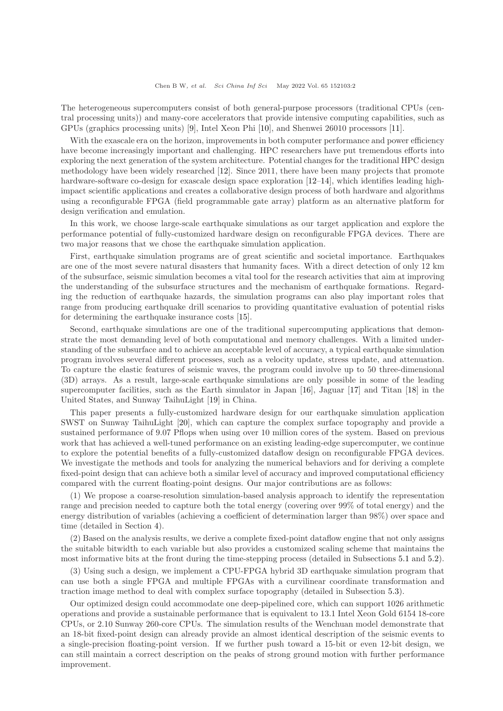The heterogeneous supercomputers consist of both general-purpose processors (traditional CPUs (central processing units)) and many-core accelerators that provide intensive computing capabilities, such as GPUs (graphics processing units) [\[9\]](#page-14-8), Intel Xeon Phi [\[10\]](#page-14-9), and Shenwei 26010 processors [\[11\]](#page-14-10).

With the exascale era on the horizon, improvements in both computer performance and power efficiency have become increasingly important and challenging. HPC researchers have put tremendous efforts into exploring the next generation of the system architecture. Potential changes for the traditional HPC design methodology have been widely researched [\[12\]](#page-14-11). Since 2011, there have been many projects that promote hardware-software co-design for exascale design space exploration [\[12](#page-14-11)[–14\]](#page-14-12), which identifies leading highimpact scientific applications and creates a collaborative design process of both hardware and algorithms using a reconfigurable FPGA (field programmable gate array) platform as an alternative platform for design verification and emulation.

In this work, we choose large-scale earthquake simulations as our target application and explore the performance potential of fully-customized hardware design on reconfigurable FPGA devices. There are two major reasons that we chose the earthquake simulation application.

First, earthquake simulation programs are of great scientific and societal importance. Earthquakes are one of the most severe natural disasters that humanity faces. With a direct detection of only 12 km of the subsurface, seismic simulation becomes a vital tool for the research activities that aim at improving the understanding of the subsurface structures and the mechanism of earthquake formations. Regarding the reduction of earthquake hazards, the simulation programs can also play important roles that range from producing earthquake drill scenarios to providing quantitative evaluation of potential risks for determining the earthquake insurance costs [\[15\]](#page-14-13).

Second, earthquake simulations are one of the traditional supercomputing applications that demonstrate the most demanding level of both computational and memory challenges. With a limited understanding of the subsurface and to achieve an acceptable level of accuracy, a typical earthquake simulation program involves several different processes, such as a velocity update, stress update, and attenuation. To capture the elastic features of seismic waves, the program could involve up to 50 three-dimensional (3D) arrays. As a result, large-scale earthquake simulations are only possible in some of the leading supercomputer facilities, such as the Earth simulator in Japan [\[16\]](#page-14-14), Jaguar [\[17\]](#page-14-15) and Titan [\[18\]](#page-14-16) in the United States, and Sunway TaihuLight [\[19\]](#page-14-17) in China.

This paper presents a fully-customized hardware design for our earthquake simulation application SWST on Sunway TaihuLight [\[20\]](#page-14-18), which can capture the complex surface topography and provide a sustained performance of 9.07 Pflops when using over 10 million cores of the system. Based on previous work that has achieved a well-tuned performance on an existing leading-edge supercomputer, we continue to explore the potential benefits of a fully-customized dataflow design on reconfigurable FPGA devices. We investigate the methods and tools for analyzing the numerical behaviors and for deriving a complete fixed-point design that can achieve both a similar level of accuracy and improved computational efficiency compared with the current floating-point designs. Our major contributions are as follows:

(1) We propose a coarse-resolution simulation-based analysis approach to identify the representation range and precision needed to capture both the total energy (covering over 99% of total energy) and the energy distribution of variables (achieving a coefficient of determination larger than 98%) over space and time (detailed in Section [4\)](#page-5-0).

(2) Based on the analysis results, we derive a complete fixed-point dataflow engine that not only assigns the suitable bitwidth to each variable but also provides a customized scaling scheme that maintains the most informative bits at the front during the time-stepping process (detailed in Subsections [5.1](#page-8-0) and [5.2\)](#page-10-0).

(3) Using such a design, we implement a CPU-FPGA hybrid 3D earthquake simulation program that can use both a single FPGA and multiple FPGAs with a curvilinear coordinate transformation and traction image method to deal with complex surface topography (detailed in Subsection [5.3\)](#page-11-0).

Our optimized design could accommodate one deep-pipelined core, which can support 1026 arithmetic operations and provide a sustainable performance that is equivalent to 13.1 Intel Xeon Gold 6154 18-core CPUs, or 2.10 Sunway 260-core CPUs. The simulation results of the Wenchuan model demonstrate that an 18-bit fixed-point design can already provide an almost identical description of the seismic events to a single-precision floating-point version. If we further push toward a 15-bit or even 12-bit design, we can still maintain a correct description on the peaks of strong ground motion with further performance improvement.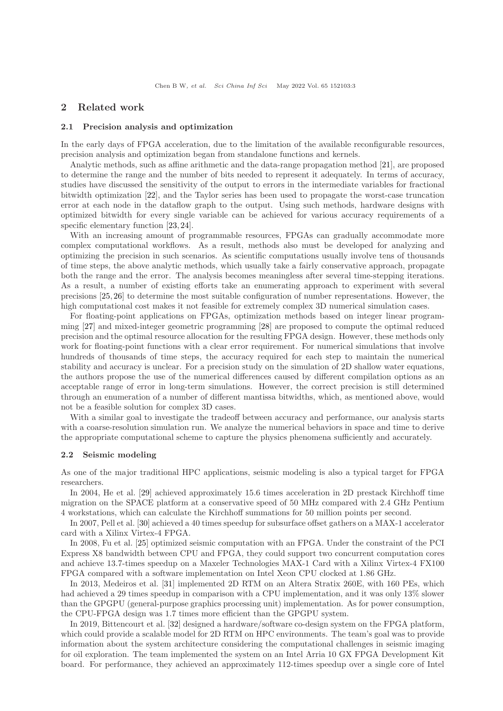## 2 Related work

#### 2.1 Precision analysis and optimization

In the early days of FPGA acceleration, due to the limitation of the available reconfigurable resources, precision analysis and optimization began from standalone functions and kernels.

Analytic methods, such as affine arithmetic and the data-range propagation method [\[21\]](#page-14-19), are proposed to determine the range and the number of bits needed to represent it adequately. In terms of accuracy, studies have discussed the sensitivity of the output to errors in the intermediate variables for fractional bitwidth optimization [\[22\]](#page-14-20), and the Taylor series has been used to propagate the worst-case truncation error at each node in the dataflow graph to the output. Using such methods, hardware designs with optimized bitwidth for every single variable can be achieved for various accuracy requirements of a specific elementary function [\[23,](#page-14-21) [24\]](#page-14-22).

With an increasing amount of programmable resources, FPGAs can gradually accommodate more complex computational workflows. As a result, methods also must be developed for analyzing and optimizing the precision in such scenarios. As scientific computations usually involve tens of thousands of time steps, the above analytic methods, which usually take a fairly conservative approach, propagate both the range and the error. The analysis becomes meaningless after several time-stepping iterations. As a result, a number of existing efforts take an enumerating approach to experiment with several precisions [\[25,](#page-14-23) [26\]](#page-15-1) to determine the most suitable configuration of number representations. However, the high computational cost makes it not feasible for extremely complex 3D numerical simulation cases.

For floating-point applications on FPGAs, optimization methods based on integer linear programming [\[27\]](#page-15-2) and mixed-integer geometric programming [\[28\]](#page-15-3) are proposed to compute the optimal reduced precision and the optimal resource allocation for the resulting FPGA design. However, these methods only work for floating-point functions with a clear error requirement. For numerical simulations that involve hundreds of thousands of time steps, the accuracy required for each step to maintain the numerical stability and accuracy is unclear. For a precision study on the simulation of 2D shallow water equations, the authors propose the use of the numerical differences caused by different compilation options as an acceptable range of error in long-term simulations. However, the correct precision is still determined through an enumeration of a number of different mantissa bitwidths, which, as mentioned above, would not be a feasible solution for complex 3D cases.

With a similar goal to investigate the tradeoff between accuracy and performance, our analysis starts with a coarse-resolution simulation run. We analyze the numerical behaviors in space and time to derive the appropriate computational scheme to capture the physics phenomena sufficiently and accurately.

#### 2.2 Seismic modeling

As one of the major traditional HPC applications, seismic modeling is also a typical target for FPGA researchers.

In 2004, He et al. [\[29\]](#page-15-4) achieved approximately 15.6 times acceleration in 2D prestack Kirchhoff time migration on the SPACE platform at a conservative speed of 50 MHz compared with 2.4 GHz Pentium 4 workstations, which can calculate the Kirchhoff summations for 50 million points per second.

In 2007, Pell et al. [\[30\]](#page-15-5) achieved a 40 times speedup for subsurface offset gathers on a MAX-1 accelerator card with a Xilinx Virtex-4 FPGA.

In 2008, Fu et al. [\[25\]](#page-14-23) optimized seismic computation with an FPGA. Under the constraint of the PCI Express X8 bandwidth between CPU and FPGA, they could support two concurrent computation cores and achieve 13.7-times speedup on a Maxeler Technologies MAX-1 Card with a Xilinx Virtex-4 FX100 FPGA compared with a software implementation on Intel Xeon CPU clocked at 1.86 GHz.

In 2013, Medeiros et al. [\[31\]](#page-15-6) implemented 2D RTM on an Altera Stratix 260E, with 160 PEs, which had achieved a 29 times speedup in comparison with a CPU implementation, and it was only 13% slower than the GPGPU (general-purpose graphics processing unit) implementation. As for power consumption, the CPU-FPGA design was 1.7 times more efficient than the GPGPU system.

In 2019, Bittencourt et al. [\[32\]](#page-15-7) designed a hardware/software co-design system on the FPGA platform, which could provide a scalable model for 2D RTM on HPC environments. The team's goal was to provide information about the system architecture considering the computational challenges in seismic imaging for oil exploration. The team implemented the system on an Intel Arria 10 GX FPGA Development Kit board. For performance, they achieved an approximately 112-times speedup over a single core of Intel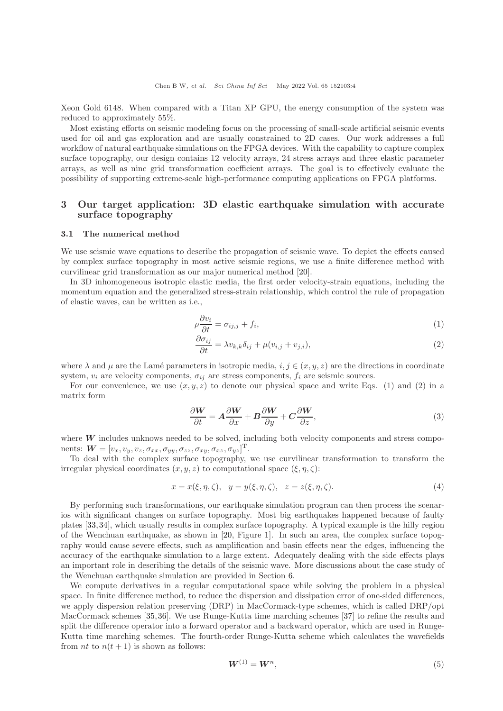Xeon Gold 6148. When compared with a Titan XP GPU, the energy consumption of the system was reduced to approximately 55%.

Most existing efforts on seismic modeling focus on the processing of small-scale artificial seismic events used for oil and gas exploration and are usually constrained to 2D cases. Our work addresses a full workflow of natural earthquake simulations on the FPGA devices. With the capability to capture complex surface topography, our design contains 12 velocity arrays, 24 stress arrays and three elastic parameter arrays, as well as nine grid transformation coefficient arrays. The goal is to effectively evaluate the possibility of supporting extreme-scale high-performance computing applications on FPGA platforms.

## 3 Our target application: 3D elastic earthquake simulation with accurate surface topography

#### 3.1 The numerical method

We use seismic wave equations to describe the propagation of seismic wave. To depict the effects caused by complex surface topography in most active seismic regions, we use a finite difference method with curvilinear grid transformation as our major numerical method [\[20\]](#page-14-18).

In 3D inhomogeneous isotropic elastic media, the first order velocity-strain equations, including the momentum equation and the generalized stress-strain relationship, which control the rule of propagation of elastic waves, can be written as i.e.,

$$
\rho \frac{\partial v_i}{\partial t} = \sigma_{ij,j} + f_i,\tag{1}
$$

$$
\frac{\partial \sigma_{ij}}{\partial t} = \lambda v_{k,k} \delta_{ij} + \mu (v_{i,j} + v_{j,i}), \qquad (2)
$$

where  $\lambda$  and  $\mu$  are the Lamé parameters in isotropic media,  $i, j \in (x, y, z)$  are the directions in coordinate system,  $v_i$  are velocity components,  $\sigma_{ij}$  are stress components,  $f_i$  are seismic sources.

For our convenience, we use  $(x, y, z)$  to denote our physical space and write Eqs. (1) and (2) in a matrix form

$$
\frac{\partial W}{\partial t} = A \frac{\partial W}{\partial x} + B \frac{\partial W}{\partial y} + C \frac{\partial W}{\partial z},\tag{3}
$$

where  $W$  includes unknows needed to be solved, including both velocity components and stress components:  $\mathbf{W} = [v_x, v_y, v_z, \sigma_{xx}, \sigma_{yy}, \sigma_{zz}, \sigma_{xy}, \sigma_{xz}, \sigma_{yz}]^{\mathrm{T}}$ .

To deal with the complex surface topography, we use curvilinear transformation to transform the irregular physical coordinates  $(x, y, z)$  to computational space  $(\xi, \eta, \zeta)$ :

$$
x = x(\xi, \eta, \zeta), \quad y = y(\xi, \eta, \zeta), \quad z = z(\xi, \eta, \zeta).
$$
\n
$$
(4)
$$

By performing such transformations, our earthquake simulation program can then process the scenarios with significant changes on surface topography. Most big earthquakes happened because of faulty plates [\[33,](#page-15-8)[34\]](#page-15-9), which usually results in complex surface topography. A typical example is the hilly region of the Wenchuan earthquake, as shown in [\[20,](#page-14-18) Figure 1]. In such an area, the complex surface topography would cause severe effects, such as amplification and basin effects near the edges, influencing the accuracy of the earthquake simulation to a large extent. Adequately dealing with the side effects plays an important role in describing the details of the seismic wave. More discussions about the case study of the Wenchuan earthquake simulation are provided in Section [6.](#page-12-0)

We compute derivatives in a regular computational space while solving the problem in a physical space. In finite difference method, to reduce the dispersion and dissipation error of one-sided differences, we apply dispersion relation preserving (DRP) in MacCormack-type schemes, which is called DRP/opt MacCormack schemes [\[35,](#page-15-10)[36\]](#page-15-11). We use Runge-Kutta time marching schemes [\[37\]](#page-15-12) to refine the results and split the difference operator into a forward operator and a backward operator, which are used in Runge-Kutta time marching schemes. The fourth-order Runge-Kutta scheme which calculates the wavefields from *nt* to  $n(t + 1)$  is shown as follows:

$$
\boldsymbol{W}^{(1)} = \boldsymbol{W}^n,\tag{5}
$$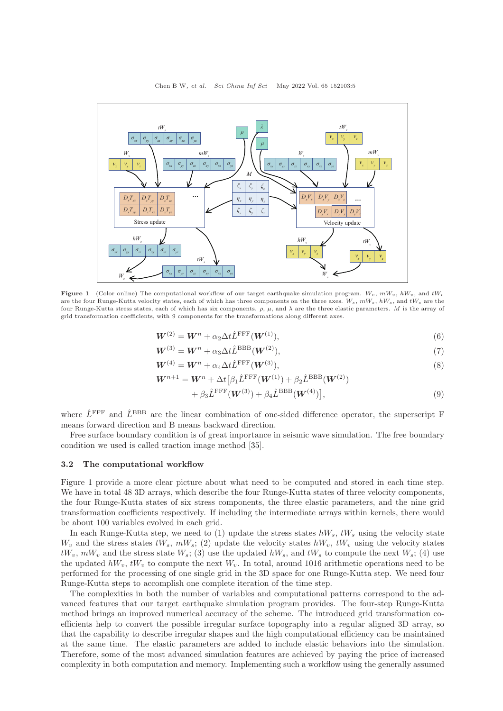<span id="page-4-0"></span>

Figure 1 (Color online) The computational workflow of our target earthquake simulation program.  $W_v$ ,  $mW_v$ ,  $hW_v$ , and  $tW_v$ are the four Runge-Kutta velocity states, each of which has three components on the three axes.  $W_s$ ,  $mW_s$ ,  $hW_s$ , and  $tW_s$  are the four Runge-Kutta stress states, each of which has six components. ρ, µ, and λ are the three elastic parameters. M is the array of grid transformation coefficients, with 9 components for the transformations along different axes.

$$
\mathbf{W}^{(2)} = \mathbf{W}^n + \alpha_2 \Delta t \hat{L}^{\text{FFF}}(\mathbf{W}^{(1)}),\tag{6}
$$

$$
\boldsymbol{W}^{(3)} = \boldsymbol{W}^n + \alpha_3 \Delta t \hat{L}^{\mathrm{BBB}}(\boldsymbol{W}^{(2)}),\tag{7}
$$

$$
\mathbf{W}^{(4)} = \mathbf{W}^n + \alpha_4 \Delta t \hat{L}^{\text{FFF}}(\mathbf{W}^{(3)}),\tag{8}
$$

$$
\boldsymbol{W}^{n+1} = \boldsymbol{W}^n + \Delta t \big[\beta_1 \hat{L}^{\text{FFF}}(\boldsymbol{W}^{(1)}) + \beta_2 \hat{L}^{\text{BBB}}(\boldsymbol{W}^{(2)})
$$

$$
+\beta_3 \hat{L}^{\text{FFF}}(\boldsymbol{W}^{(3)}) + \beta_4 \hat{L}^{\text{BBB}}(\boldsymbol{W}^{(4)})\big],\tag{9}
$$

where  $\hat{L}^{\text{FFF}}$  and  $\hat{L}^{\text{BBB}}$  are the linear combination of one-sided difference operator, the superscript F means forward direction and B means backward direction.

Free surface boundary condition is of great importance in seismic wave simulation. The free boundary condition we used is called traction image method [\[35\]](#page-15-10).

#### 3.2 The computational workflow

Figure [1](#page-4-0) provide a more clear picture about what need to be computed and stored in each time step. We have in total 48 3D arrays, which describe the four Runge-Kutta states of three velocity components, the four Runge-Kutta states of six stress components, the three elastic parameters, and the nine grid transformation coefficients respectively. If including the intermediate arrays within kernels, there would be about 100 variables evolved in each grid.

In each Runge-Kutta step, we need to (1) update the stress states  $hW_s$ ,  $tW_s$  using the velocity state  $W_v$  and the stress states  $tW_s$ ,  $mW_s$ ; (2) update the velocity states  $hW_v$ ,  $tW_v$  using the velocity states  $tW_v$ ,  $mW_v$  and the stress state  $W_s$ ; (3) use the updated  $hW_s$ , and  $tW_s$  to compute the next  $W_s$ ; (4) use the updated  $hW_v$ ,  $tW_v$  to compute the next  $W_v$ . In total, around 1016 arithmetic operations need to be performed for the processing of one single grid in the 3D space for one Runge-Kutta step. We need four Runge-Kutta steps to accomplish one complete iteration of the time step.

The complexities in both the number of variables and computational patterns correspond to the advanced features that our target earthquake simulation program provides. The four-step Runge-Kutta method brings an improved numerical accuracy of the scheme. The introduced grid transformation coefficients help to convert the possible irregular surface topography into a regular aligned 3D array, so that the capability to describe irregular shapes and the high computational efficiency can be maintained at the same time. The elastic parameters are added to include elastic behaviors into the simulation. Therefore, some of the most advanced simulation features are achieved by paying the price of increased complexity in both computation and memory. Implementing such a workflow using the generally assumed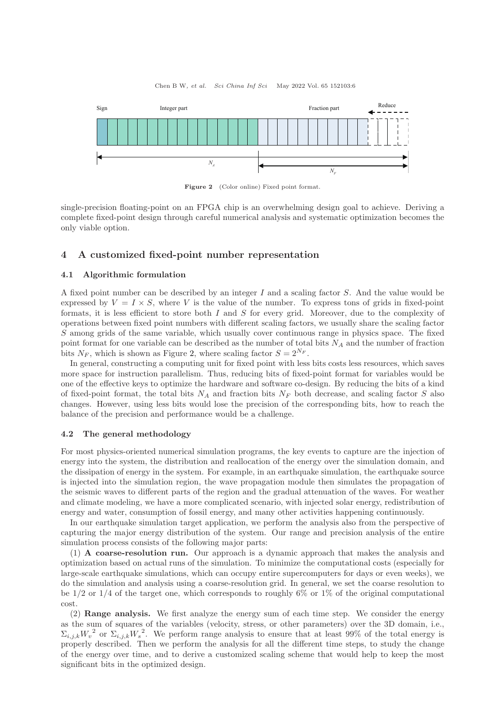<span id="page-5-1"></span>

Figure 2 (Color online) Fixed point format.

single-precision floating-point on an FPGA chip is an overwhelming design goal to achieve. Deriving a complete fixed-point design through careful numerical analysis and systematic optimization becomes the only viable option.

## <span id="page-5-0"></span>4 A customized fixed-point number representation

#### 4.1 Algorithmic formulation

A fixed point number can be described by an integer I and a scaling factor S. And the value would be expressed by  $V = I \times S$ , where V is the value of the number. To express tons of grids in fixed-point formats, it is less efficient to store both  $I$  and  $S$  for every grid. Moreover, due to the complexity of operations between fixed point numbers with different scaling factors, we usually share the scaling factor S among grids of the same variable, which usually cover continuous range in physics space. The fixed point format for one variable can be described as the number of total bits  $N_A$  and the number of fraction bits  $N_F$ , which is shown as Figure [2,](#page-5-1) where scaling factor  $S = 2^{N_F}$ .

In general, constructing a computing unit for fixed point with less bits costs less resources, which saves more space for instruction parallelism. Thus, reducing bits of fixed-point format for variables would be one of the effective keys to optimize the hardware and software co-design. By reducing the bits of a kind of fixed-point format, the total bits  $N_A$  and fraction bits  $N_F$  both decrease, and scaling factor S also changes. However, using less bits would lose the precision of the corresponding bits, how to reach the balance of the precision and performance would be a challenge.

### 4.2 The general methodology

For most physics-oriented numerical simulation programs, the key events to capture are the injection of energy into the system, the distribution and reallocation of the energy over the simulation domain, and the dissipation of energy in the system. For example, in an earthquake simulation, the earthquake source is injected into the simulation region, the wave propagation module then simulates the propagation of the seismic waves to different parts of the region and the gradual attenuation of the waves. For weather and climate modeling, we have a more complicated scenario, with injected solar energy, redistribution of energy and water, consumption of fossil energy, and many other activities happening continuously.

In our earthquake simulation target application, we perform the analysis also from the perspective of capturing the major energy distribution of the system. Our range and precision analysis of the entire simulation process consists of the following major parts:

(1) A coarse-resolution run. Our approach is a dynamic approach that makes the analysis and optimization based on actual runs of the simulation. To minimize the computational costs (especially for large-scale earthquake simulations, which can occupy entire supercomputers for days or even weeks), we do the simulation and analysis using a coarse-resolution grid. In general, we set the coarse resolution to be  $1/2$  or  $1/4$  of the target one, which corresponds to roughly 6% or 1% of the original computational cost.

(2) Range analysis. We first analyze the energy sum of each time step. We consider the energy as the sum of squares of the variables (velocity, stress, or other parameters) over the 3D domain, i.e.,  $\Sigma_{i,j,k}W_v^2$  or  $\Sigma_{i,j,k}W_s^2$ . We perform range analysis to ensure that at least 99% of the total energy is properly described. Then we perform the analysis for all the different time steps, to study the change of the energy over time, and to derive a customized scaling scheme that would help to keep the most significant bits in the optimized design.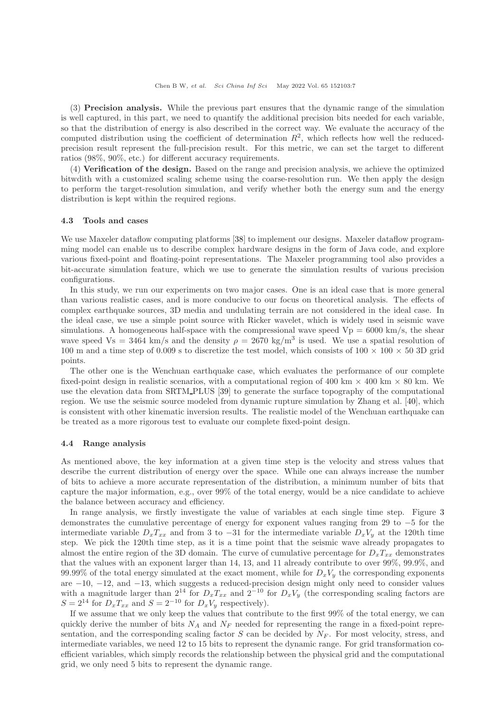(3) Precision analysis. While the previous part ensures that the dynamic range of the simulation is well captured, in this part, we need to quantify the additional precision bits needed for each variable, so that the distribution of energy is also described in the correct way. We evaluate the accuracy of the computed distribution using the coefficient of determination  $R^2$ , which reflects how well the reducedprecision result represent the full-precision result. For this metric, we can set the target to different ratios (98%, 90%, etc.) for different accuracy requirements.

(4) Verification of the design. Based on the range and precision analysis, we achieve the optimized bitwdith with a customized scaling scheme using the coarse-resolution run. We then apply the design to perform the target-resolution simulation, and verify whether both the energy sum and the energy distribution is kept within the required regions.

#### 4.3 Tools and cases

We use Maxeler dataflow computing platforms [\[38\]](#page-15-13) to implement our designs. Maxeler dataflow programming model can enable us to describe complex hardware designs in the form of Java code, and explore various fixed-point and floating-point representations. The Maxeler programming tool also provides a bit-accurate simulation feature, which we use to generate the simulation results of various precision configurations.

In this study, we run our experiments on two major cases. One is an ideal case that is more general than various realistic cases, and is more conducive to our focus on theoretical analysis. The effects of complex earthquake sources, 3D media and undulating terrain are not considered in the ideal case. In the ideal case, we use a simple point source with Ricker wavelet, which is widely used in seismic wave simulations. A homogeneous half-space with the compressional wave speed  $Vp = 6000 \text{ km/s}$ , the shear wave speed Vs = 3464 km/s and the density  $\rho = 2670 \text{ kg/m}^3$  is used. We use a spatial resolution of 100 m and a time step of 0.009 s to discretize the test model, which consists of  $100 \times 100 \times 50$  3D grid points.

The other one is the Wenchuan earthquake case, which evaluates the performance of our complete fixed-point design in realistic scenarios, with a computational region of 400 km  $\times$  400 km  $\times$  80 km. We use the elevation data from SRTM PLUS [\[39\]](#page-15-14) to generate the surface topography of the computational region. We use the seismic source modeled from dynamic rupture simulation by Zhang et al. [\[40\]](#page-15-15), which is consistent with other kinematic inversion results. The realistic model of the Wenchuan earthquake can be treated as a more rigorous test to evaluate our complete fixed-point design.

#### 4.4 Range analysis

As mentioned above, the key information at a given time step is the velocity and stress values that describe the current distribution of energy over the space. While one can always increase the number of bits to achieve a more accurate representation of the distribution, a minimum number of bits that capture the major information, e.g., over 99% of the total energy, would be a nice candidate to achieve the balance between accuracy and efficiency.

In range analysis, we firstly investigate the value of variables at each single time step. Figure [3](#page-7-0) demonstrates the cumulative percentage of energy for exponent values ranging from 29 to −5 for the intermediate variable  $D_xT_{xx}$  and from 3 to -31 for the intermediate variable  $D_xV_y$  at the 120th time step. We pick the 120th time step, as it is a time point that the seismic wave already propagates to almost the entire region of the 3D domain. The curve of cumulative percentage for  $D_xT_{xx}$  demonstrates that the values with an exponent larger than 14, 13, and 11 already contribute to over 99%, 99.9%, and 99.99% of the total energy simulated at the exact moment, while for  $D_xV_y$  the corresponding exponents are −10, −12, and −13, which suggests a reduced-precision design might only need to consider values with a magnitude larger than  $2^{14}$  for  $D_xT_{xx}$  and  $2^{-10}$  for  $D_xV_y$  (the corresponding scaling factors are  $S = 2^{14}$  for  $D_xT_{xx}$  and  $S = 2^{-10}$  for  $D_xV_y$  respectively).

If we assume that we only keep the values that contribute to the first 99% of the total energy, we can quickly derive the number of bits  $N_A$  and  $N_F$  needed for representing the range in a fixed-point representation, and the corresponding scaling factor S can be decided by  $N_F$ . For most velocity, stress, and intermediate variables, we need 12 to 15 bits to represent the dynamic range. For grid transformation coefficient variables, which simply records the relationship between the physical grid and the computational grid, we only need 5 bits to represent the dynamic range.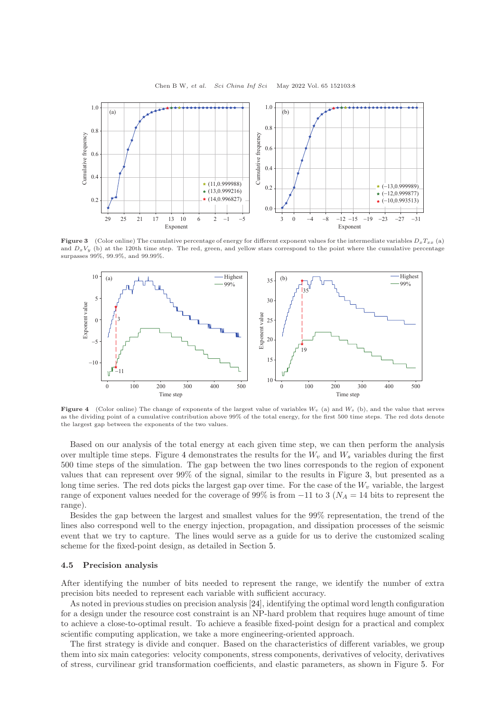<span id="page-7-0"></span>

**Figure 3** (Color online) The cumulative percentage of energy for different exponent values for the intermediate variables  $D_xT_{xx}$  (a) and  $D_xV_y$  (b) at the 120th time step. The red, green, and yellow stars correspond to the point where the cumulative percentage surpasses 99%, 99.9%, and 99.99%.

<span id="page-7-1"></span>

Figure 4 (Color online) The change of exponents of the largest value of variables  $W_v$  (a) and  $W_s$  (b), and the value that serves as the dividing point of a cumulative contribution above 99% of the total energy, for the first 500 time steps. The red dots denote the largest gap between the exponents of the two values.

Based on our analysis of the total energy at each given time step, we can then perform the analysis over multiple time steps. Figure [4](#page-7-1) demonstrates the results for the  $W_v$  and  $W_s$  variables during the first 500 time steps of the simulation. The gap between the two lines corresponds to the region of exponent values that can represent over 99% of the signal, similar to the results in Figure [3,](#page-7-0) but presented as a long time series. The red dots picks the largest gap over time. For the case of the  $W<sub>v</sub>$  variable, the largest range of exponent values needed for the coverage of 99% is from  $-11$  to 3 ( $N_A = 14$  bits to represent the range).

Besides the gap between the largest and smallest values for the 99% representation, the trend of the lines also correspond well to the energy injection, propagation, and dissipation processes of the seismic event that we try to capture. The lines would serve as a guide for us to derive the customized scaling scheme for the fixed-point design, as detailed in Section [5.](#page-8-1)

#### 4.5 Precision analysis

After identifying the number of bits needed to represent the range, we identify the number of extra precision bits needed to represent each variable with sufficient accuracy.

As noted in previous studies on precision analysis [\[24\]](#page-14-22), identifying the optimal word length configuration for a design under the resource cost constraint is an NP-hard problem that requires huge amount of time to achieve a close-to-optimal result. To achieve a feasible fixed-point design for a practical and complex scientific computing application, we take a more engineering-oriented approach.

The first strategy is divide and conquer. Based on the characteristics of different variables, we group them into six main categories: velocity components, stress components, derivatives of velocity, derivatives of stress, curvilinear grid transformation coefficients, and elastic parameters, as shown in Figure [5.](#page-8-2) For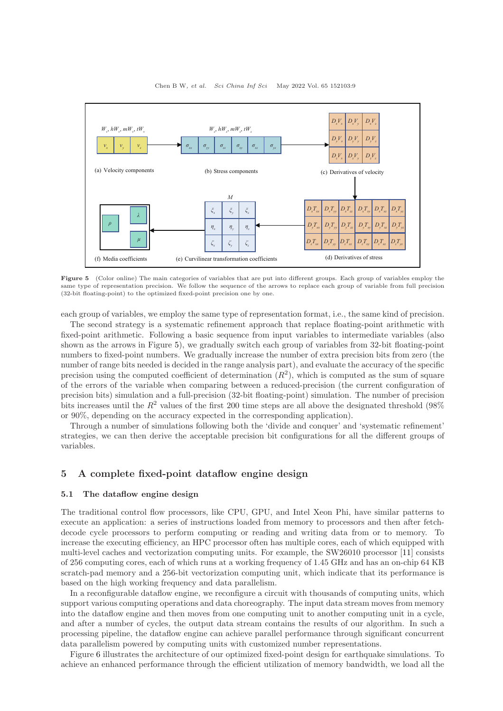<span id="page-8-2"></span>

Figure 5 (Color online) The main categories of variables that are put into different groups. Each group of variables employ the same type of representation precision. We follow the sequence of the arrows to replace each group of variable from full precision (32-bit floating-point) to the optimized fixed-point precision one by one.

each group of variables, we employ the same type of representation format, i.e., the same kind of precision.

The second strategy is a systematic refinement approach that replace floating-point arithmetic with fixed-point arithmetic. Following a basic sequence from input variables to intermediate variables (also shown as the arrows in Figure [5\)](#page-8-2), we gradually switch each group of variables from 32-bit floating-point numbers to fixed-point numbers. We gradually increase the number of extra precision bits from zero (the number of range bits needed is decided in the range analysis part), and evaluate the accuracy of the specific precision using the computed coefficient of determination  $(R^2)$ , which is computed as the sum of square of the errors of the variable when comparing between a reduced-precision (the current configuration of precision bits) simulation and a full-precision (32-bit floating-point) simulation. The number of precision bits increases until the  $R^2$  values of the first 200 time steps are all above the designated threshold (98%) or 90%, depending on the accuracy expected in the corresponding application).

Through a number of simulations following both the 'divide and conquer' and 'systematic refinement' strategies, we can then derive the acceptable precision bit configurations for all the different groups of variables.

## <span id="page-8-1"></span>5 A complete fixed-point dataflow engine design

## <span id="page-8-0"></span>5.1 The dataflow engine design

The traditional control flow processors, like CPU, GPU, and Intel Xeon Phi, have similar patterns to execute an application: a series of instructions loaded from memory to processors and then after fetchdecode cycle processors to perform computing or reading and writing data from or to memory. To increase the executing efficiency, an HPC processor often has multiple cores, each of which equipped with multi-level caches and vectorization computing units. For example, the SW26010 processor [\[11\]](#page-14-10) consists of 256 computing cores, each of which runs at a working frequency of 1.45 GHz and has an on-chip 64 KB scratch-pad memory and a 256-bit vectorization computing unit, which indicate that its performance is based on the high working frequency and data parallelism.

In a reconfigurable dataflow engine, we reconfigure a circuit with thousands of computing units, which support various computing operations and data choreography. The input data stream moves from memory into the dataflow engine and then moves from one computing unit to another computing unit in a cycle, and after a number of cycles, the output data stream contains the results of our algorithm. In such a processing pipeline, the dataflow engine can achieve parallel performance through significant concurrent data parallelism powered by computing units with customized number representations.

Figure [6](#page-9-0) illustrates the architecture of our optimized fixed-point design for earthquake simulations. To achieve an enhanced performance through the efficient utilization of memory bandwidth, we load all the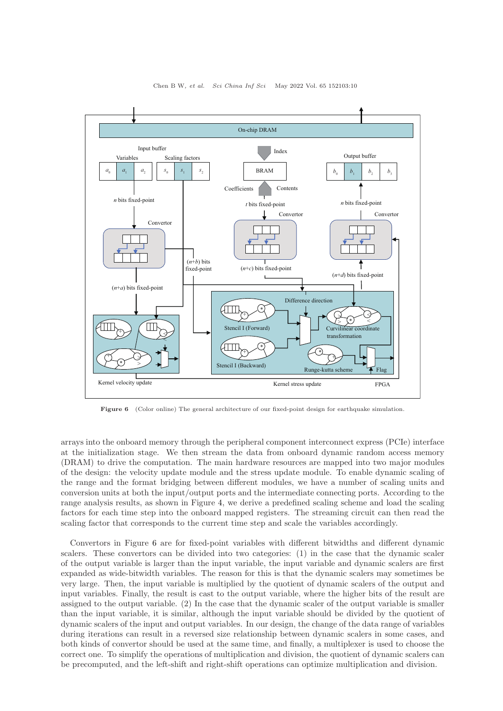<span id="page-9-0"></span>

Chen B W, et al. Sci China Inf Sci May 2022 Vol. 65 152103:10

Figure 6 (Color online) The general architecture of our fixed-point design for earthquake simulation.

arrays into the onboard memory through the peripheral component interconnect express (PCIe) interface at the initialization stage. We then stream the data from onboard dynamic random access memory (DRAM) to drive the computation. The main hardware resources are mapped into two major modules of the design: the velocity update module and the stress update module. To enable dynamic scaling of the range and the format bridging between different modules, we have a number of scaling units and conversion units at both the input/output ports and the intermediate connecting ports. According to the range analysis results, as shown in Figure [4,](#page-7-1) we derive a predefined scaling scheme and load the scaling factors for each time step into the onboard mapped registers. The streaming circuit can then read the scaling factor that corresponds to the current time step and scale the variables accordingly.

Convertors in Figure [6](#page-9-0) are for fixed-point variables with different bitwidths and different dynamic scalers. These convertors can be divided into two categories: (1) in the case that the dynamic scaler of the output variable is larger than the input variable, the input variable and dynamic scalers are first expanded as wide-bitwidth variables. The reason for this is that the dynamic scalers may sometimes be very large. Then, the input variable is multiplied by the quotient of dynamic scalers of the output and input variables. Finally, the result is cast to the output variable, where the higher bits of the result are assigned to the output variable. (2) In the case that the dynamic scaler of the output variable is smaller than the input variable, it is similar, although the input variable should be divided by the quotient of dynamic scalers of the input and output variables. In our design, the change of the data range of variables during iterations can result in a reversed size relationship between dynamic scalers in some cases, and both kinds of convertor should be used at the same time, and finally, a multiplexer is used to choose the correct one. To simplify the operations of multiplication and division, the quotient of dynamic scalers can be precomputed, and the left-shift and right-shift operations can optimize multiplication and division.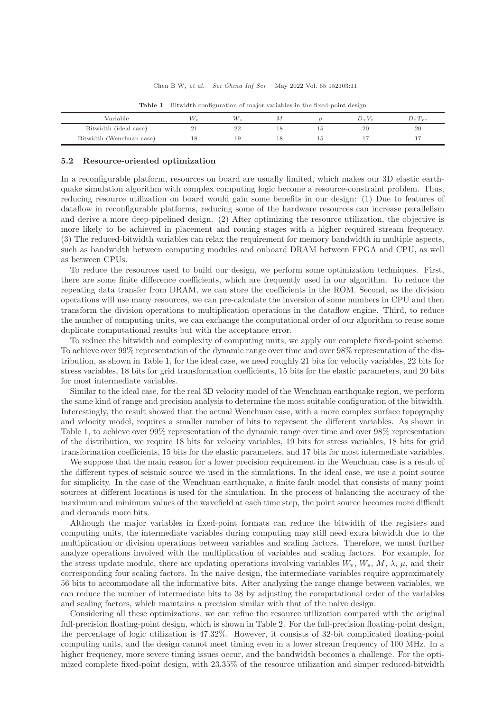<span id="page-10-1"></span>

| Variable                 | $V_{21}$ |    |  | <b>V</b> or | $\omega_{x}$ $\iota_{x}$ |
|--------------------------|----------|----|--|-------------|--------------------------|
| Bitwidth (ideal case)    | 21       | 22 |  |             | 20                       |
| Bitwidth (Wenchuan case) | 18       |    |  |             |                          |

Table 1 Bitwidth configuration of major variables in the fixed-point design

#### <span id="page-10-0"></span>5.2 Resource-oriented optimization

In a reconfigurable platform, resources on board are usually limited, which makes our 3D elastic earthquake simulation algorithm with complex computing logic become a resource-constraint problem. Thus, reducing resource utilization on board would gain some benefits in our design: (1) Due to features of dataflow in reconfigurable platforms, reducing some of the hardware resources can increase parallelism and derive a more deep-pipelined design. (2) After optimizing the resource utilization, the objective is more likely to be achieved in placement and routing stages with a higher required stream frequency. (3) The reduced-bitwidth variables can relax the requirement for memory bandwidth in multiple aspects, such as bandwidth between computing modules and onboard DRAM between FPGA and CPU, as well as between CPUs.

To reduce the resources used to build our design, we perform some optimization techniques. First, there are some finite difference coefficients, which are frequently used in our algorithm. To reduce the repeating data transfer from DRAM, we can store the coefficients in the ROM. Second, as the division operations will use many resources, we can pre-calculate the inversion of some numbers in CPU and then transform the division operations to multiplication operations in the dataflow engine. Third, to reduce the number of computing units, we can exchange the computational order of our algorithm to reuse some duplicate computational results but with the acceptance error.

To reduce the bitwidth and complexity of computing units, we apply our complete fixed-point scheme. To achieve over 99% representation of the dynamic range over time and over 98% representation of the distribution, as shown in Table [1,](#page-10-1) for the ideal case, we need roughly 21 bits for velocity variables, 22 bits for stress variables, 18 bits for grid transformation coefficients, 15 bits for the elastic parameters, and 20 bits for most intermediate variables.

Similar to the ideal case, for the real 3D velocity model of the Wenchuan earthquake region, we perform the same kind of range and precision analysis to determine the most suitable configuration of the bitwidth. Interestingly, the result showed that the actual Wenchuan case, with a more complex surface topography and velocity model, requires a smaller number of bits to represent the different variables. As shown in Table [1,](#page-10-1) to achieve over 99% representation of the dynamic range over time and over 98% representation of the distribution, we require 18 bits for velocity variables, 19 bits for stress variables, 18 bits for grid transformation coefficients, 15 bits for the elastic parameters, and 17 bits for most intermediate variables.

We suppose that the main reason for a lower precision requirement in the Wenchuan case is a result of the different types of seismic source we used in the simulations. In the ideal case, we use a point source for simplicity. In the case of the Wenchuan earthquake, a finite fault model that consists of many point sources at different locations is used for the simulation. In the process of balancing the accuracy of the maximum and minimum values of the wavefield at each time step, the point source becomes more difficult and demands more bits.

Although the major variables in fixed-point formats can reduce the bitwidth of the registers and computing units, the intermediate variables during computing may still need extra bitwidth due to the multiplication or division operations between variables and scaling factors. Therefore, we must further analyze operations involved with the multiplication of variables and scaling factors. For example, for the stress update module, there are updating operations involving variables  $W_v, W_s, M, \lambda, \mu$ , and their corresponding four scaling factors. In the naive design, the intermediate variables require approximately 56 bits to accommodate all the informative bits. After analyzing the range change between variables, we can reduce the number of intermediate bits to 38 by adjusting the computational order of the variables and scaling factors, which maintains a precision similar with that of the naive design.

Considering all these optimizations, we can refine the resource utilization compared with the original full-precision floating-point design, which is shown in Table [2.](#page-11-1) For the full-precision floating-point design, the percentage of logic utilization is 47.32%. However, it consists of 32-bit complicated floating-point computing units, and the design cannot meet timing even in a lower stream frequency of 100 MHz. In a higher frequency, more severe timing issues occur, and the bandwidth becomes a challenge. For the optimized complete fixed-point design, with 23.35% of the resource utilization and simper reduced-bitwidth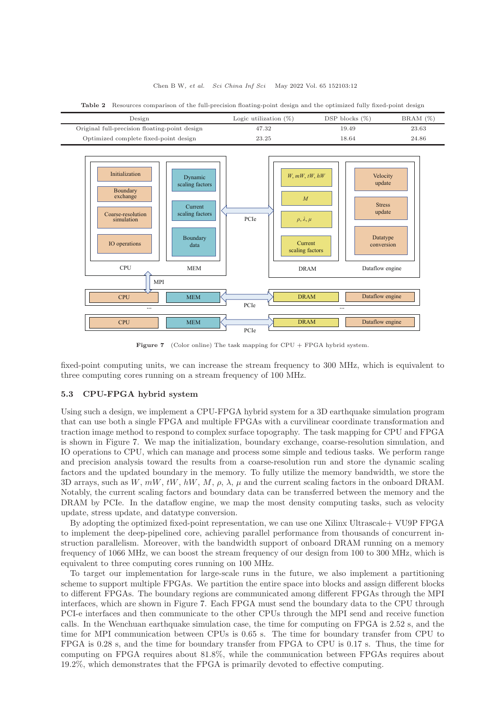#### Chen B W, et al. Sci China Inf Sci May 2022 Vol. 65 152103:12

<span id="page-11-1"></span>

| Design                                        | Logic utilization $(\%)$ | DSP blocks $(\%)$ | $BRAM(\%)$ |
|-----------------------------------------------|--------------------------|-------------------|------------|
| Original full-precision floating-point design | 47.32                    | 19.49             | 23.63      |
| Optimized complete fixed-point design         | 23.25                    | 18.64             | 24.86      |

Table 2 Resources comparison of the full-precision floating-point design and the optimized fully fixed-point design

<span id="page-11-2"></span>

Figure 7 (Color online) The task mapping for CPU + FPGA hybrid system.

fixed-point computing units, we can increase the stream frequency to 300 MHz, which is equivalent to three computing cores running on a stream frequency of 100 MHz.

## <span id="page-11-0"></span>5.3 CPU-FPGA hybrid system

Using such a design, we implement a CPU-FPGA hybrid system for a 3D earthquake simulation program that can use both a single FPGA and multiple FPGAs with a curvilinear coordinate transformation and traction image method to respond to complex surface topography. The task mapping for CPU and FPGA is shown in Figure [7.](#page-11-2) We map the initialization, boundary exchange, coarse-resolution simulation, and IO operations to CPU, which can manage and process some simple and tedious tasks. We perform range and precision analysis toward the results from a coarse-resolution run and store the dynamic scaling factors and the updated boundary in the memory. To fully utilize the memory bandwidth, we store the 3D arrays, such as W,  $mW$ ,  $tW$ ,  $hW$ ,  $M$ ,  $\rho$ ,  $\lambda$ ,  $\mu$  and the current scaling factors in the onboard DRAM. Notably, the current scaling factors and boundary data can be transferred between the memory and the DRAM by PCIe. In the dataflow engine, we map the most density computing tasks, such as velocity update, stress update, and datatype conversion.

By adopting the optimized fixed-point representation, we can use one Xilinx Ultrascale+ VU9P FPGA to implement the deep-pipelined core, achieving parallel performance from thousands of concurrent instruction parallelism. Moreover, with the bandwidth support of onboard DRAM running on a memory frequency of 1066 MHz, we can boost the stream frequency of our design from 100 to 300 MHz, which is equivalent to three computing cores running on 100 MHz.

To target our implementation for large-scale runs in the future, we also implement a partitioning scheme to support multiple FPGAs. We partition the entire space into blocks and assign different blocks to different FPGAs. The boundary regions are communicated among different FPGAs through the MPI interfaces, which are shown in Figure [7.](#page-11-2) Each FPGA must send the boundary data to the CPU through PCI-e interfaces and then communicate to the other CPUs through the MPI send and receive function calls. In the Wenchuan earthquake simulation case, the time for computing on FPGA is 2.52 s, and the time for MPI communication between CPUs is 0.65 s. The time for boundary transfer from CPU to FPGA is 0.28 s, and the time for boundary transfer from FPGA to CPU is 0.17 s. Thus, the time for computing on FPGA requires about 81.8%, while the communication between FPGAs requires about 19.2%, which demonstrates that the FPGA is primarily devoted to effective computing.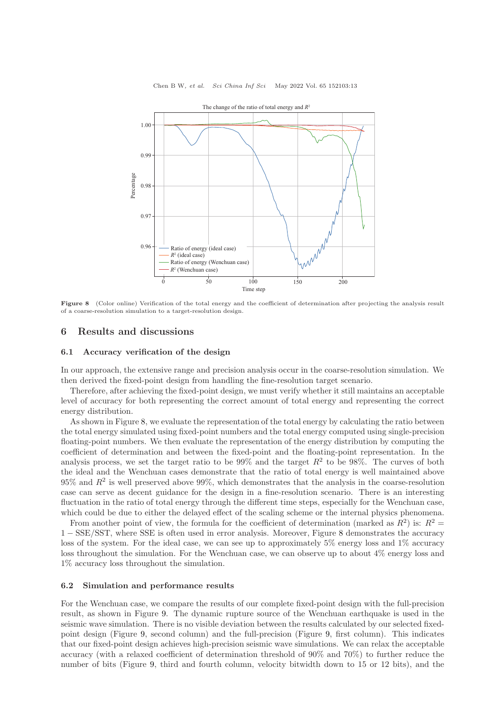<span id="page-12-1"></span>

Chen B W, et al. Sci China Inf Sci May 2022 Vol. 65 152103:13

Figure 8 (Color online) Verification of the total energy and the coefficient of determination after projecting the analysis result of a coarse-resolution simulation to a target-resolution design.

## <span id="page-12-0"></span>6 Results and discussions

### 6.1 Accuracy verification of the design

In our approach, the extensive range and precision analysis occur in the coarse-resolution simulation. We then derived the fixed-point design from handling the fine-resolution target scenario.

Therefore, after achieving the fixed-point design, we must verify whether it still maintains an acceptable level of accuracy for both representing the correct amount of total energy and representing the correct energy distribution.

As shown in Figure [8,](#page-12-1) we evaluate the representation of the total energy by calculating the ratio between the total energy simulated using fixed-point numbers and the total energy computed using single-precision floating-point numbers. We then evaluate the representation of the energy distribution by computing the coefficient of determination and between the fixed-point and the floating-point representation. In the analysis process, we set the target ratio to be  $99\%$  and the target  $R^2$  to be  $98\%$ . The curves of both the ideal and the Wenchuan cases demonstrate that the ratio of total energy is well maintained above  $95\%$  and  $R^2$  is well preserved above  $99\%$ , which demonstrates that the analysis in the coarse-resolution case can serve as decent guidance for the design in a fine-resolution scenario. There is an interesting fluctuation in the ratio of total energy through the different time steps, especially for the Wenchuan case, which could be due to either the delayed effect of the scaling scheme or the internal physics phenomena.

From another point of view, the formula for the coefficient of determination (marked as  $R^2$ ) is:  $R^2 =$ 1 − SSE/SST, where SSE is often used in error analysis. Moreover, Figure [8](#page-12-1) demonstrates the accuracy loss of the system. For the ideal case, we can see up to approximately 5% energy loss and 1% accuracy loss throughout the simulation. For the Wenchuan case, we can observe up to about 4% energy loss and 1% accuracy loss throughout the simulation.

#### 6.2 Simulation and performance results

For the Wenchuan case, we compare the results of our complete fixed-point design with the full-precision result, as shown in Figure [9.](#page-13-0) The dynamic rupture source of the Wenchuan earthquake is used in the seismic wave simulation. There is no visible deviation between the results calculated by our selected fixedpoint design (Figure [9,](#page-13-0) second column) and the full-precision (Figure [9,](#page-13-0) first column). This indicates that our fixed-point design achieves high-precision seismic wave simulations. We can relax the acceptable accuracy (with a relaxed coefficient of determination threshold of 90% and 70%) to further reduce the number of bits (Figure [9,](#page-13-0) third and fourth column, velocity bitwidth down to 15 or 12 bits), and the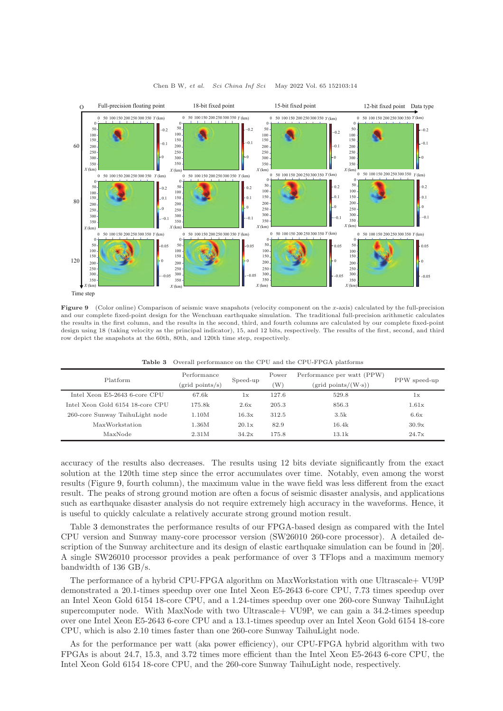<span id="page-13-0"></span>

Figure 9 (Color online) Comparison of seismic wave snapshots (velocity component on the x-axis) calculated by the full-precision and our complete fixed-point design for the Wenchuan earthquake simulation. The traditional full-precision arithmetic calculates the results in the first column, and the results in the second, third, and fourth columns are calculated by our complete fixed-point design using 18 (taking velocity as the principal indicator), 15, and 12 bits, respectively. The results of the first, second, and third row depict the snapshots at the 60th, 80th, and 120th time step, respectively.

<span id="page-13-1"></span>

| Platform                         | Performance<br>$(\text{grid points/s})$ | Speed-up | Power<br>'W | Performance per watt (PPW)<br>$(grid points/(W\cdot s))$ | PPW speed-up |
|----------------------------------|-----------------------------------------|----------|-------------|----------------------------------------------------------|--------------|
| Intel Xeon E5-2643 6-core CPU    | 67.6k                                   | 1x       | 127.6       | 529.8                                                    | 1x           |
| Intel Xeon Gold 6154 18-core CPU | 175.8k                                  | 2.6x     | 205.3       | 856.3                                                    | 1.61x        |
| 260-core Sunway TaihuLight node  | 1.10M                                   | 16.3x    | 312.5       | 3.5k                                                     | 6.6x         |
| MaxWorkstation                   | 1.36M                                   | 20.1x    | 82.9        | 16.4k                                                    | 30.9x        |
| MaxNode                          | 2.31M                                   | 34.2x    | 175.8       | 13.1k                                                    | 24.7x        |

Table 3 Overall performance on the CPU and the CPU-FPGA platforms

accuracy of the results also decreases. The results using 12 bits deviate significantly from the exact solution at the 120th time step since the error accumulates over time. Notably, even among the worst results (Figure [9,](#page-13-0) fourth column), the maximum value in the wave field was less different from the exact result. The peaks of strong ground motion are often a focus of seismic disaster analysis, and applications such as earthquake disaster analysis do not require extremely high accuracy in the waveforms. Hence, it is useful to quickly calculate a relatively accurate strong ground motion result.

Table [3](#page-13-1) demonstrates the performance results of our FPGA-based design as compared with the Intel CPU version and Sunway many-core processor version (SW26010 260-core processor). A detailed description of the Sunway architecture and its design of elastic earthquake simulation can be found in [\[20\]](#page-14-18). A single SW26010 processor provides a peak performance of over 3 TFlops and a maximum memory bandwidth of 136 GB/s.

The performance of a hybrid CPU-FPGA algorithm on MaxWorkstation with one Ultrascale+ VU9P demonstrated a 20.1-times speedup over one Intel Xeon E5-2643 6-core CPU, 7.73 times speedup over an Intel Xeon Gold 6154 18-core CPU, and a 1.24-times speedup over one 260-core Sunway TaihuLight supercomputer node. With MaxNode with two Ultrascale+ VU9P, we can gain a 34.2-times speedup over one Intel Xeon E5-2643 6-core CPU and a 13.1-times speedup over an Intel Xeon Gold 6154 18-core CPU, which is also 2.10 times faster than one 260-core Sunway TaihuLight node.

As for the performance per watt (aka power efficiency), our CPU-FPGA hybrid algorithm with two FPGAs is about 24.7, 15.3, and 3.72 times more efficient than the Intel Xeon E5-2643 6-core CPU, the Intel Xeon Gold 6154 18-core CPU, and the 260-core Sunway TaihuLight node, respectively.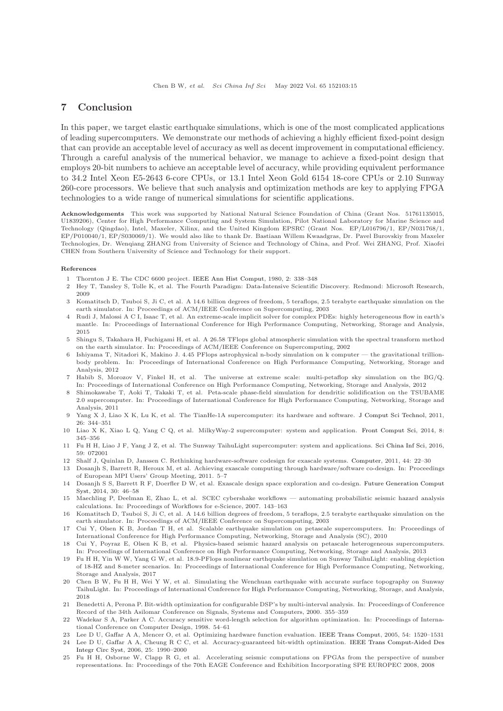## 7 Conclusion

In this paper, we target elastic earthquake simulations, which is one of the most complicated applications of leading supercomputers. We demonstrate our methods of achieving a highly efficient fixed-point design that can provide an acceptable level of accuracy as well as decent improvement in computational efficiency. Through a careful analysis of the numerical behavior, we manage to achieve a fixed-point design that employs 20-bit numbers to achieve an acceptable level of accuracy, while providing equivalent performance to 34.2 Intel Xeon E5-2643 6-core CPUs, or 13.1 Intel Xeon Gold 6154 18-core CPUs or 2.10 Sunway 260-core processors. We believe that such analysis and optimization methods are key to applying FPGA technologies to a wide range of numerical simulations for scientific applications.

Acknowledgements This work was supported by National Natural Science Foundation of China (Grant Nos. 51761135015, U1839206), Center for High Performance Computing and System Simulation, Pilot National Laboratory for Marine Science and Technology (Qingdao), Intel, Maxeler, Xilinx, and the United Kingdom EPSRC (Grant Nos. EP/L016796/1, EP/N031768/1, EP/P010040/1, EP/S030069/1). We would also like to thank Dr. Bastiaan Willem Kwaadgras, Dr. Pavel Burovskiy from Maxeler Technologies, Dr. Wenqiang ZHANG from University of Science and Technology of China, and Prof. Wei ZHANG, Prof. Xiaofei CHEN from Southern University of Science and Technology for their support.

#### <span id="page-14-0"></span>References

- <span id="page-14-1"></span>1 Thornton J E. The CDC 6600 project. [IEEE Ann Hist Comput,](https://doi.org/10.1109/MAHC.1980.10044) 1980, 2: 338–348
- 2 Hey T, Tansley S, Tolle K, et al. The Fourth Paradigm: Data-Intensive Scientific Discovery. Redmond: Microsoft Research, 2009
- <span id="page-14-2"></span>3 Komatitsch D, Tsuboi S, Ji C, et al. A 14.6 billion degrees of freedom, 5 teraflops, 2.5 terabyte earthquake simulation on the earth simulator. In: Proceedings of ACM/IEEE Conference on Supercomputing, 2003
- <span id="page-14-3"></span>4 Rudi J, Malossi A C I, Isaac T, et al. An extreme-scale implicit solver for complex PDEs: highly heterogeneous flow in earth's mantle. In: Proceedings of International Conference for High Performance Computing, Networking, Storage and Analysis, 2015
- <span id="page-14-4"></span>5 Shingu S, Takahara H, Fuchigami H, et al. A 26.58 TFlops global atmospheric simulation with the spectral transform method on the earth simulator. In: Proceedings of ACM/IEEE Conference on Supercomputing, 2002
- <span id="page-14-5"></span>6 Ishiyama T, Nitadori K, Makino J. 4.45 PFlops astrophysical n-body simulation on k computer — the gravitational trillionbody problem. In: Proceedings of International Conference on High Performance Computing, Networking, Storage and Analysis, 2012
- <span id="page-14-6"></span>7 Habib S, Morozov V, Finkel H, et al. The universe at extreme scale: multi-petaflop sky simulation on the BG/Q. In: Proceedings of International Conference on High Performance Computing, Networking, Storage and Analysis, 2012
- <span id="page-14-7"></span>8 Shimokawabe T, Aoki T, Takaki T, et al. Peta-scale phase-field simulation for dendritic solidification on the TSUBAME 2.0 supercomputer. In: Proceedings of International Conference for High Performance Computing, Networking, Storage and Analysis, 2011
- <span id="page-14-8"></span>9 Yang X J, Liao X K, Lu K, et al. The TianHe-1A supercomputer: its hardware and software. [J Comput Sci Technol,](https://doi.org/10.1007/s02011-011-1137-8) 2011, 26: 344–351
- <span id="page-14-9"></span>10 Liao X K, Xiao L Q, Yang C Q, et al. MilkyWay-2 supercomputer: system and application. [Front Comput Sci,](https://doi.org/10.1007/s11704-014-3501-3) 2014, 8: 345–356
- <span id="page-14-10"></span>11 Fu H H, Liao J F, Yang J Z, et al. The Sunway TaihuLight supercomputer: system and applications. [Sci China Inf Sci,](https://doi.org/10.1007/s11432-016-5588-7) 2016, 59: 072001
- <span id="page-14-11"></span>12 Shalf J, Quinlan D, Janssen C. Rethinking hardware-software codesign for exascale systems. [Computer,](https://doi.org/10.1109/MC.2011.300) 2011, 44: 22–30
- 13 Dosanjh S, Barrett R, Heroux M, et al. Achieving exascale computing through hardware/software co-design. In: Proceedings of European MPI Users' Group Meeting, 2011. 5–7
- <span id="page-14-12"></span>14 Dosanjh S S, Barrett R F, Doerfler D W, et al. Exascale design space exploration and co-design. Future Generation Comput Syst, 2014, 30: 46–58
- <span id="page-14-13"></span>15 Maechling P, Deelman E, Zhao L, et al. SCEC cybershake workflows — automating probabilistic seismic hazard analysis calculations. In: Proceedings of Workflows for e-Science, 2007. 143–163
- <span id="page-14-14"></span>16 Komatitsch D, Tsuboi S, Ji C, et al. A 14.6 billion degrees of freedom, 5 teraflops, 2.5 terabyte earthquake simulation on the earth simulator. In: Proceedings of ACM/IEEE Conference on Supercomputing, 2003
- <span id="page-14-15"></span>17 Cui Y, Olsen K B, Jordan T H, et al. Scalable earthquake simulation on petascale supercomputers. In: Proceedings of International Conference for High Performance Computing, Networking, Storage and Analysis (SC), 2010
- <span id="page-14-16"></span>18 Cui Y, Poyraz E, Olsen K B, et al. Physics-based seismic hazard analysis on petascale heterogeneous supercomputers. In: Proceedings of International Conference on High Performance Computing, Networking, Storage and Analysis, 2013
- <span id="page-14-17"></span>19 Fu H H, Yin W W, Yang G W, et al. 18.9-PFlops nonlinear earthquake simulation on Sunway TaihuLight: enabling depiction of 18-HZ and 8-meter scenarios. In: Proceedings of International Conference for High Performance Computing, Networking, Storage and Analysis, 2017
- <span id="page-14-18"></span>20 Chen B W, Fu H H, Wei Y W, et al. Simulating the Wenchuan earthquake with accurate surface topography on Sunway TaihuLight. In: Proceedings of International Conference for High Performance Computing, Networking, Storage, and Analysis, 2018
- <span id="page-14-19"></span>21 Benedetti A, Perona P. Bit-width optimization for configurable DSP's by multi-interval analysis. In: Proceedings of Conference Record of the 34th Asilomar Conference on Signals, Systems and Computers, 2000. 355–359
- <span id="page-14-20"></span>22 Wadekar S A, Parker A C. Accuracy sensitive word-length selection for algorithm optimization. In: Proceedings of International Conference on Computer Design, 1998. 54–61
- <span id="page-14-22"></span><span id="page-14-21"></span>23 Lee D U, Gaffar A A, Mencer O, et al. Optimizing hardware function evaluation. [IEEE Trans Comput,](https://doi.org/10.1109/TC.2005.201) 2005, 54: 1520–1531 24 Lee D U, Gaffar A A, Cheung R C C, et al. Accuracy-guaranteed bit-width optimization. IEEE Trans Comput-Aided Des
- <span id="page-14-23"></span>Integr Circ Syst, 2006, 25: 1990–2000 25 Fu H H, Osborne W, Clapp R G, et al. Accelerating seismic computations on FPGAs from the perspective of number representations. In: Proceedings of the 70th EAGE Conference and Exhibition Incorporating SPE EUROPEC 2008, 2008